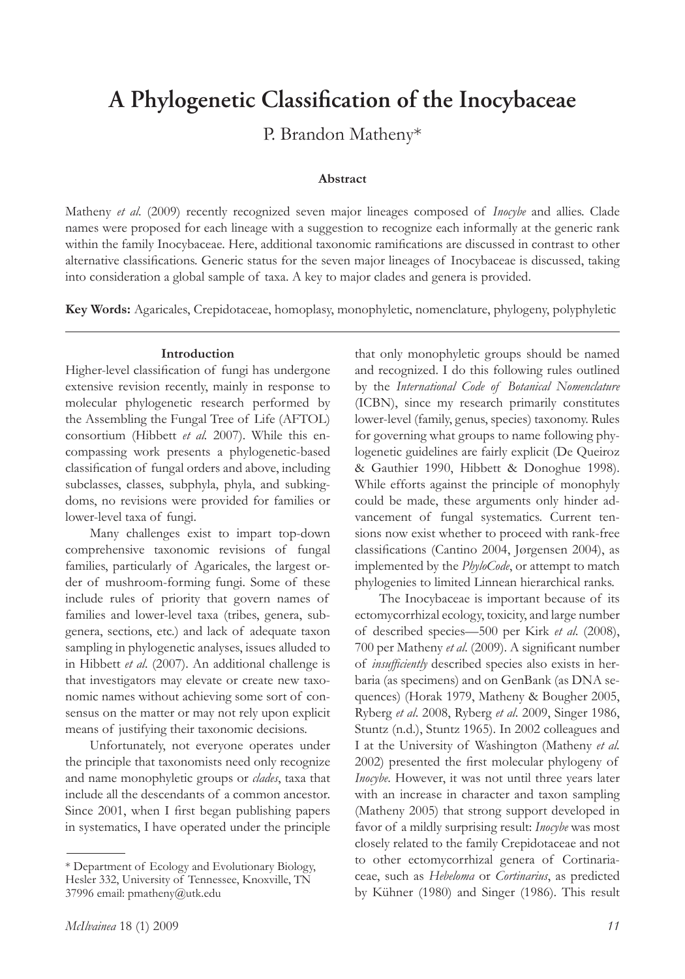# **A Phylogenetic Classification of the Inocybaceae**

P. Brandon Matheny\*

#### **Abstract**

Matheny *et al*. (2009) recently recognized seven major lineages composed of *Inocybe* and allies. Clade names were proposed for each lineage with a suggestion to recognize each informally at the generic rank within the family Inocybaceae. Here, additional taxonomic ramifications are discussed in contrast to other alternative classifications. Generic status for the seven major lineages of Inocybaceae is discussed, taking into consideration a global sample of taxa. A key to major clades and genera is provided.

**Key Words:** Agaricales, Crepidotaceae, homoplasy, monophyletic, nomenclature, phylogeny, polyphyletic

### **Introduction**

Higher-level classification of fungi has undergone extensive revision recently, mainly in response to molecular phylogenetic research performed by the Assembling the Fungal Tree of Life (AFTOL) consortium (Hibbett *et al.* 2007). While this encompassing work presents a phylogenetic-based classification of fungal orders and above, including subclasses, classes, subphyla, phyla, and subkingdoms, no revisions were provided for families or lower-level taxa of fungi.

Many challenges exist to impart top-down comprehensive taxonomic revisions of fungal families, particularly of Agaricales, the largest order of mushroom-forming fungi. Some of these include rules of priority that govern names of families and lower-level taxa (tribes, genera, subgenera, sections, etc.) and lack of adequate taxon sampling in phylogenetic analyses, issues alluded to in Hibbett *et al*. (2007). An additional challenge is that investigators may elevate or create new taxonomic names without achieving some sort of consensus on the matter or may not rely upon explicit means of justifying their taxonomic decisions.

Unfortunately, not everyone operates under the principle that taxonomists need only recognize and name monophyletic groups or *clades*, taxa that include all the descendants of a common ancestor. Since 2001, when I first began publishing papers in systematics, I have operated under the principle

that only monophyletic groups should be named and recognized. I do this following rules outlined by the *International Code of Botanical Nomenclature* (ICBN), since my research primarily constitutes lower-level (family, genus, species) taxonomy. Rules for governing what groups to name following phylogenetic guidelines are fairly explicit (De Queiroz & Gauthier 1990, Hibbett & Donoghue 1998). While efforts against the principle of monophyly could be made, these arguments only hinder advancement of fungal systematics. Current tensions now exist whether to proceed with rank-free classifications (Cantino 2004, Jørgensen 2004), as implemented by the *PhyloCode*, or attempt to match phylogenies to limited Linnean hierarchical ranks.

The Inocybaceae is important because of its ectomycorrhizal ecology, toxicity, and large number of described species—500 per Kirk *et al*. (2008), 700 per Matheny *et al*. (2009). A significant number of *insufficiently* described species also exists in herbaria (as specimens) and on GenBank (as DNA sequences) (Horak 1979, Matheny & Bougher 2005, Ryberg *et al*. 2008, Ryberg *et al*. 2009, Singer 1986, Stuntz (n.d.), Stuntz 1965). In 2002 colleagues and I at the University of Washington (Matheny *et al.* 2002) presented the first molecular phylogeny of *Inocybe*. However, it was not until three years later with an increase in character and taxon sampling (Matheny 2005) that strong support developed in favor of a mildly surprising result: *Inocybe* was most closely related to the family Crepidotaceae and not to other ectomycorrhizal genera of Cortinariaceae, such as *Hebeloma* or *Cortinarius*, as predicted by Kühner (1980) and Singer (1986). This result

<sup>\*</sup> Department of Ecology and Evolutionary Biology, Hesler 332, University of Tennessee, Knoxville, TN 37996 email: pmatheny@utk.edu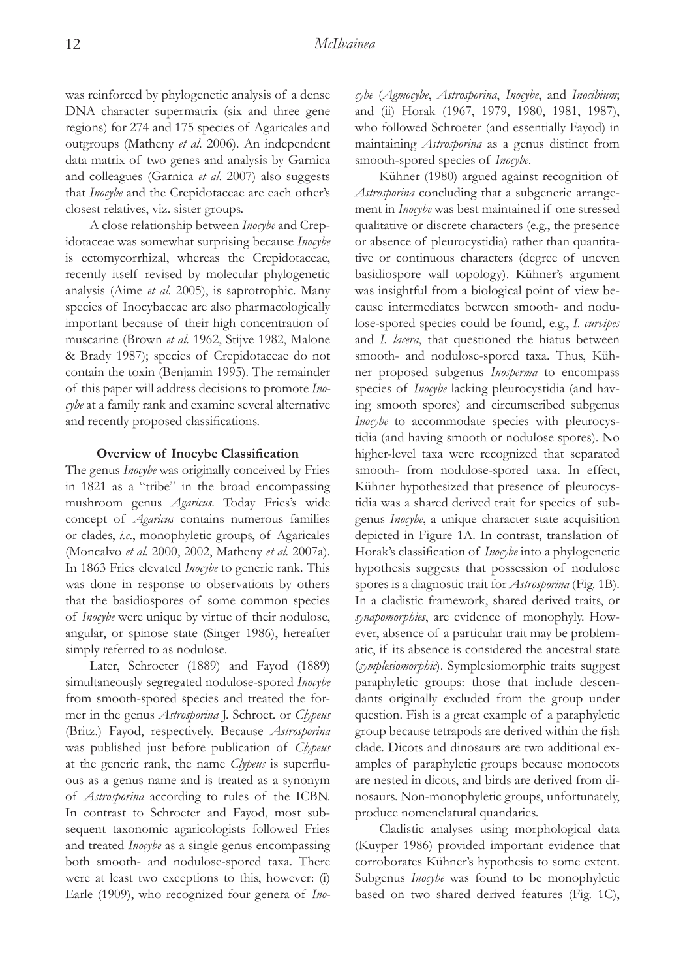was reinforced by phylogenetic analysis of a dense DNA character supermatrix (six and three gene regions) for 274 and 175 species of Agaricales and outgroups (Matheny *et al*. 2006). An independent data matrix of two genes and analysis by Garnica and colleagues (Garnica *et al*. 2007) also suggests that *Inocybe* and the Crepidotaceae are each other's closest relatives, viz. sister groups.

A close relationship between *Inocybe* and Crepidotaceae was somewhat surprising because *Inocybe* is ectomycorrhizal, whereas the Crepidotaceae, recently itself revised by molecular phylogenetic analysis (Aime *et al*. 2005), is saprotrophic. Many species of Inocybaceae are also pharmacologically important because of their high concentration of muscarine (Brown *et al*. 1962, Stijve 1982, Malone & Brady 1987); species of Crepidotaceae do not contain the toxin (Benjamin 1995). The remainder of this paper will address decisions to promote *Inocybe* at a family rank and examine several alternative and recently proposed classifications.

#### **Overview of Inocybe Classification**

The genus *Inocybe* was originally conceived by Fries in 1821 as a "tribe" in the broad encompassing mushroom genus *Agaricus*. Today Fries's wide concept of *Agaricus* contains numerous families or clades, *i.e*., monophyletic groups, of Agaricales (Moncalvo *et al.* 2000, 2002, Matheny *et al.* 2007a). In 1863 Fries elevated *Inocybe* to generic rank. This was done in response to observations by others that the basidiospores of some common species of *Inocybe* were unique by virtue of their nodulose, angular, or spinose state (Singer 1986), hereafter simply referred to as nodulose.

Later, Schroeter (1889) and Fayod (1889) simultaneously segregated nodulose-spored *Inocybe* from smooth-spored species and treated the former in the genus *Astrosporina* J. Schroet. or *Clypeus* (Britz.) Fayod, respectively. Because *Astrosporina* was published just before publication of *Clypeus* at the generic rank, the name *Clypeus* is superfluous as a genus name and is treated as a synonym of *Astrosporina* according to rules of the ICBN. In contrast to Schroeter and Fayod, most subsequent taxonomic agaricologists followed Fries and treated *Inocybe* as a single genus encompassing both smooth- and nodulose-spored taxa. There were at least two exceptions to this, however: (i) Earle (1909), who recognized four genera of *Ino-* *cybe* (*Agmocybe*, *Astrosporina*, *Inocybe*, and *Inocibium*; and (ii) Horak (1967, 1979, 1980, 1981, 1987), who followed Schroeter (and essentially Fayod) in maintaining *Astrosporina* as a genus distinct from smooth-spored species of *Inocybe*.

Kühner (1980) argued against recognition of *Astrosporina* concluding that a subgeneric arrangement in *Inocybe* was best maintained if one stressed qualitative or discrete characters (e.g., the presence or absence of pleurocystidia) rather than quantitative or continuous characters (degree of uneven basidiospore wall topology). Kühner's argument was insightful from a biological point of view because intermediates between smooth- and nodulose-spored species could be found, e.g., *I. curvipes* and *I. lacera*, that questioned the hiatus between smooth- and nodulose-spored taxa. Thus, Kühner proposed subgenus *Inosperma* to encompass species of *Inocybe* lacking pleurocystidia (and having smooth spores) and circumscribed subgenus *Inocybe* to accommodate species with pleurocystidia (and having smooth or nodulose spores). No higher-level taxa were recognized that separated smooth- from nodulose-spored taxa. In effect, Kühner hypothesized that presence of pleurocystidia was a shared derived trait for species of subgenus *Inocybe*, a unique character state acquisition depicted in Figure 1A. In contrast, translation of Horak's classification of *Inocybe* into a phylogenetic hypothesis suggests that possession of nodulose spores is a diagnostic trait for *Astrosporina* (Fig. 1B). In a cladistic framework, shared derived traits, or *synapomorphies*, are evidence of monophyly. However, absence of a particular trait may be problematic, if its absence is considered the ancestral state (*symplesiomorphic*). Symplesiomorphic traits suggest paraphyletic groups: those that include descendants originally excluded from the group under question. Fish is a great example of a paraphyletic group because tetrapods are derived within the fish clade. Dicots and dinosaurs are two additional examples of paraphyletic groups because monocots are nested in dicots, and birds are derived from dinosaurs. Non-monophyletic groups, unfortunately, produce nomenclatural quandaries.

Cladistic analyses using morphological data (Kuyper 1986) provided important evidence that corroborates Kühner's hypothesis to some extent. Subgenus *Inocybe* was found to be monophyletic based on two shared derived features (Fig. 1C),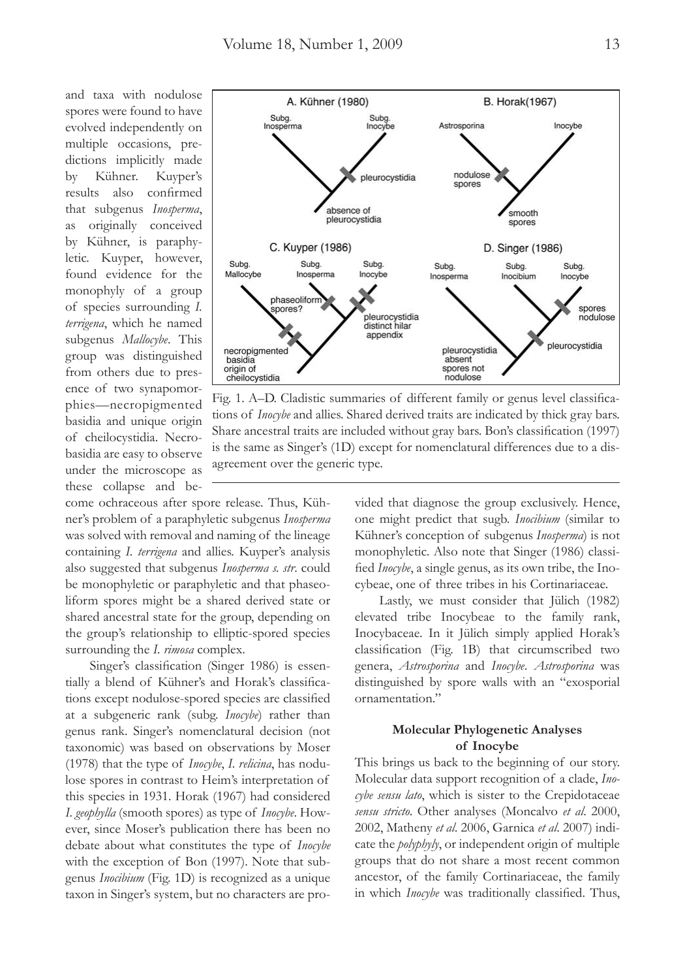and taxa with nodulose spores were found to have evolved independently on multiple occasions, predictions implicitly made by Kühner. Kuyper's results also confirmed that subgenus *Inosperma*, as originally conceived by Kühner, is paraphyletic. Kuyper, however, found evidence for the monophyly of a group of species surrounding *I. terrigena*, which he named subgenus *Mallocybe*. This group was distinguished from others due to presence of two synapomorphies—necropigmented basidia and unique origin of cheilocystidia. Necrobasidia are easy to observe under the microscope as these collapse and be-

come ochraceous after spore release. Thus, Kühner's problem of a paraphyletic subgenus *Inosperma* was solved with removal and naming of the lineage containing *I. terrigena* and allies. Kuyper's analysis also suggested that subgenus *Inosperma s. str*. could be monophyletic or paraphyletic and that phaseoliform spores might be a shared derived state or shared ancestral state for the group, depending on the group's relationship to elliptic-spored species surrounding the *I. rimosa* complex.

Singer's classification (Singer 1986) is essentially a blend of Kühner's and Horak's classifications except nodulose-spored species are classified at a subgeneric rank (subg. *Inocybe*) rather than genus rank. Singer's nomenclatural decision (not taxonomic) was based on observations by Moser (1978) that the type of *Inocybe*, *I. relicina*, has nodulose spores in contrast to Heim's interpretation of this species in 1931. Horak (1967) had considered *I. geophylla* (smooth spores) as type of *Inocybe*. However, since Moser's publication there has been no debate about what constitutes the type of *Inocybe*  with the exception of Bon (1997). Note that subgenus *Inocibium* (Fig. 1D) is recognized as a unique taxon in Singer's system, but no characters are pro-



Fig. 1. A–D. Cladistic summaries of different family or genus level classifications of *Inocybe* and allies. Shared derived traits are indicated by thick gray bars. Share ancestral traits are included without gray bars. Bon's classification (1997) is the same as Singer's (1D) except for nomenclatural differences due to a disagreement over the generic type.

vided that diagnose the group exclusively. Hence, one might predict that sugb. *Inocibium* (similar to Kühner's conception of subgenus *Inosperma*) is not monophyletic. Also note that Singer (1986) classified *Inocybe*, a single genus, as its own tribe, the Inocybeae, one of three tribes in his Cortinariaceae.

Lastly, we must consider that Jülich (1982) elevated tribe Inocybeae to the family rank, Inocybaceae. In it Jülich simply applied Horak's classification (Fig. 1B) that circumscribed two genera, *Astrosporina* and *Inocybe*. *Astrosporina* was distinguished by spore walls with an "exosporial ornamentation."

## **Molecular Phylogenetic Analyses of Inocybe**

This brings us back to the beginning of our story. Molecular data support recognition of a clade, *Inocybe sensu lato*, which is sister to the Crepidotaceae *sensu stricto*. Other analyses (Moncalvo *et al*. 2000, 2002, Matheny *et al*. 2006, Garnica *et al*. 2007) indicate the *polyphyly*, or independent origin of multiple groups that do not share a most recent common ancestor, of the family Cortinariaceae, the family in which *Inocybe* was traditionally classified. Thus,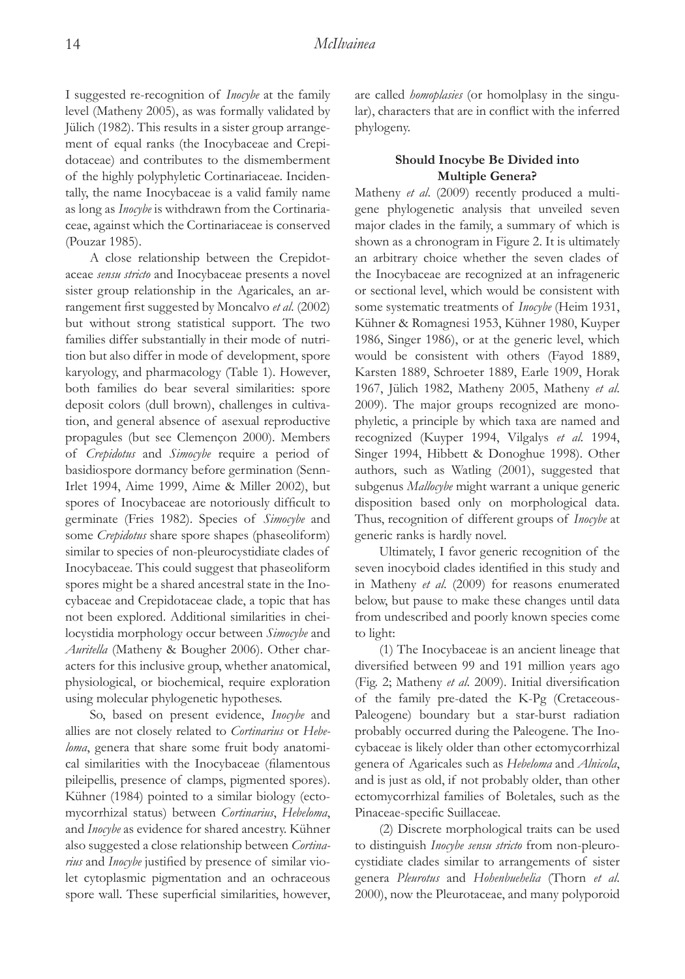I suggested re-recognition of *Inocybe* at the family level (Matheny 2005), as was formally validated by Jülich (1982). This results in a sister group arrangement of equal ranks (the Inocybaceae and Crepidotaceae) and contributes to the dismemberment of the highly polyphyletic Cortinariaceae. Incidentally, the name Inocybaceae is a valid family name as long as *Inocybe* is withdrawn from the Cortinariaceae, against which the Cortinariaceae is conserved (Pouzar 1985).

A close relationship between the Crepidotaceae *sensu stricto* and Inocybaceae presents a novel sister group relationship in the Agaricales, an arrangement first suggested by Moncalvo *et al*. (2002) but without strong statistical support. The two families differ substantially in their mode of nutrition but also differ in mode of development, spore karyology, and pharmacology (Table 1). However, both families do bear several similarities: spore deposit colors (dull brown), challenges in cultivation, and general absence of asexual reproductive propagules (but see Clemençon 2000). Members of *Crepidotus* and *Simocybe* require a period of basidiospore dormancy before germination (Senn-Irlet 1994, Aime 1999, Aime & Miller 2002), but spores of Inocybaceae are notoriously difficult to germinate (Fries 1982). Species of *Simocybe* and some *Crepidotus* share spore shapes (phaseoliform) similar to species of non-pleurocystidiate clades of Inocybaceae. This could suggest that phaseoliform spores might be a shared ancestral state in the Inocybaceae and Crepidotaceae clade, a topic that has not been explored. Additional similarities in cheilocystidia morphology occur between *Simocybe* and *Auritella* (Matheny & Bougher 2006). Other characters for this inclusive group, whether anatomical, physiological, or biochemical, require exploration using molecular phylogenetic hypotheses.

So, based on present evidence, *Inocybe* and allies are not closely related to *Cortinarius* or *Hebeloma*, genera that share some fruit body anatomical similarities with the Inocybaceae (filamentous pileipellis, presence of clamps, pigmented spores). Kühner (1984) pointed to a similar biology (ectomycorrhizal status) between *Cortinarius*, *Hebeloma*, and *Inocybe* as evidence for shared ancestry. Kühner also suggested a close relationship between *Cortinarius* and *Inocybe* justified by presence of similar violet cytoplasmic pigmentation and an ochraceous spore wall. These superficial similarities, however, are called *homoplasies* (or homolplasy in the singular), characters that are in conflict with the inferred phylogeny.

## **Should Inocybe Be Divided into Multiple Genera?**

Matheny *et al*. (2009) recently produced a multigene phylogenetic analysis that unveiled seven major clades in the family, a summary of which is shown as a chronogram in Figure 2. It is ultimately an arbitrary choice whether the seven clades of the Inocybaceae are recognized at an infrageneric or sectional level, which would be consistent with some systematic treatments of *Inocybe* (Heim 1931, Kühner & Romagnesi 1953, Kühner 1980, Kuyper 1986, Singer 1986), or at the generic level, which would be consistent with others (Fayod 1889, Karsten 1889, Schroeter 1889, Earle 1909, Horak 1967, Jülich 1982, Matheny 2005, Matheny *et al*. 2009). The major groups recognized are monophyletic, a principle by which taxa are named and recognized (Kuyper 1994, Vilgalys *et al*. 1994, Singer 1994, Hibbett & Donoghue 1998). Other authors, such as Watling (2001), suggested that subgenus *Mallocybe* might warrant a unique generic disposition based only on morphological data. Thus, recognition of different groups of *Inocybe* at generic ranks is hardly novel.

Ultimately, I favor generic recognition of the seven inocyboid clades identified in this study and in Matheny *et al*. (2009) for reasons enumerated below, but pause to make these changes until data from undescribed and poorly known species come to light:

(1) The Inocybaceae is an ancient lineage that diversified between 99 and 191 million years ago (Fig. 2; Matheny *et al*. 2009). Initial diversification of the family pre-dated the K-Pg (Cretaceous-Paleogene) boundary but a star-burst radiation probably occurred during the Paleogene. The Inocybaceae is likely older than other ectomycorrhizal genera of Agaricales such as *Hebeloma* and *Alnicola*, and is just as old, if not probably older, than other ectomycorrhizal families of Boletales, such as the Pinaceae-specific Suillaceae.

(2) Discrete morphological traits can be used to distinguish *Inocybe sensu stricto* from non-pleurocystidiate clades similar to arrangements of sister genera *Pleurotus* and *Hohenbuehelia* (Thorn *et al*. 2000), now the Pleurotaceae, and many polyporoid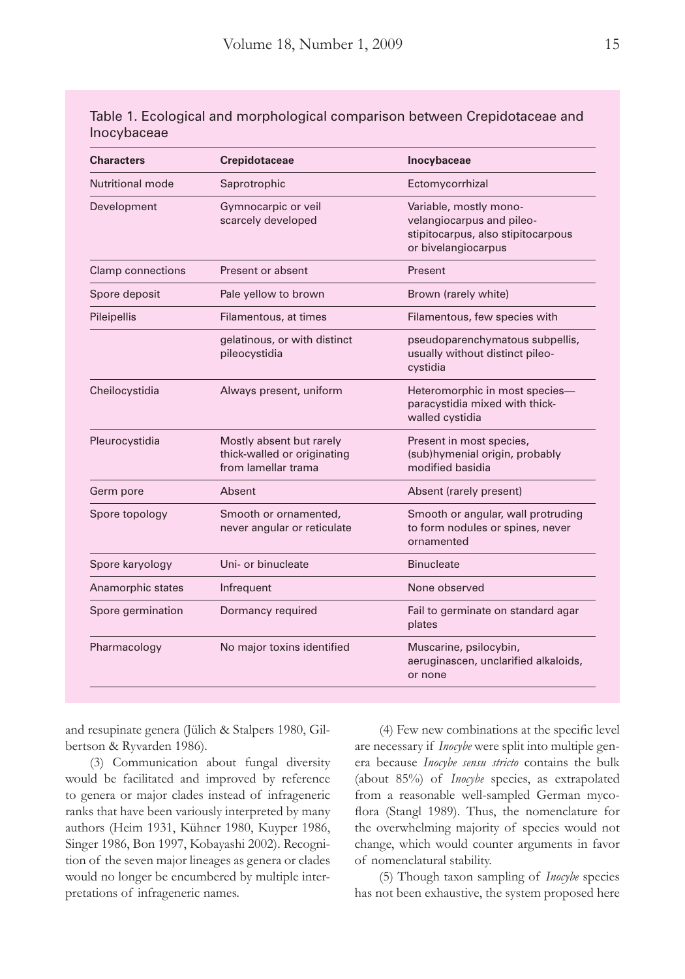| <b>Characters</b>        | Crepidotaceae                                                                  | Inocybaceae                                                                                                      |  |
|--------------------------|--------------------------------------------------------------------------------|------------------------------------------------------------------------------------------------------------------|--|
| Nutritional mode         | Saprotrophic                                                                   | Ectomycorrhizal                                                                                                  |  |
| Development              | Gymnocarpic or veil<br>scarcely developed                                      | Variable, mostly mono-<br>velangiocarpus and pileo-<br>stipitocarpus, also stipitocarpous<br>or bivelangiocarpus |  |
| <b>Clamp connections</b> | Present or absent                                                              | Present                                                                                                          |  |
| Spore deposit            | Pale yellow to brown                                                           | Brown (rarely white)                                                                                             |  |
| Pileipellis              | Filamentous, at times                                                          | Filamentous, few species with                                                                                    |  |
|                          | gelatinous, or with distinct<br>pileocystidia                                  | pseudoparenchymatous subpellis,<br>usually without distinct pileo-<br>cystidia                                   |  |
| Cheilocystidia           | Always present, uniform                                                        | Heteromorphic in most species-<br>paracystidia mixed with thick-<br>walled cystidia                              |  |
| Pleurocystidia           | Mostly absent but rarely<br>thick-walled or originating<br>from lamellar trama | Present in most species,<br>(sub)hymenial origin, probably<br>modified basidia                                   |  |
| Germ pore                | Absent                                                                         | Absent (rarely present)                                                                                          |  |
| Spore topology           | Smooth or ornamented,<br>never angular or reticulate                           | Smooth or angular, wall protruding<br>to form nodules or spines, never<br>ornamented                             |  |
| Spore karyology          | Uni- or binucleate                                                             | <b>Binucleate</b>                                                                                                |  |
| Anamorphic states        | Infrequent                                                                     | None observed                                                                                                    |  |
| Spore germination        | Dormancy required                                                              | Fail to germinate on standard agar<br>plates                                                                     |  |
| Pharmacology             | No major toxins identified                                                     | Muscarine, psilocybin,<br>aeruginascen, unclarified alkaloids,<br>or none                                        |  |

Table 1. Ecological and morphological comparison between Crepidotaceae and Inocybaceae

and resupinate genera (Jülich & Stalpers 1980, Gilbertson & Ryvarden 1986).

(3) Communication about fungal diversity would be facilitated and improved by reference to genera or major clades instead of infrageneric ranks that have been variously interpreted by many authors (Heim 1931, Kühner 1980, Kuyper 1986, Singer 1986, Bon 1997, Kobayashi 2002). Recognition of the seven major lineages as genera or clades would no longer be encumbered by multiple interpretations of infrageneric names.

(4) Few new combinations at the specific level are necessary if *Inocybe* were split into multiple genera because *Inocybe sensu stricto* contains the bulk (about 85%) of *Inocybe* species, as extrapolated from a reasonable well-sampled German mycoflora (Stangl 1989). Thus, the nomenclature for the overwhelming majority of species would not change, which would counter arguments in favor of nomenclatural stability.

(5) Though taxon sampling of *Inocybe* species has not been exhaustive, the system proposed here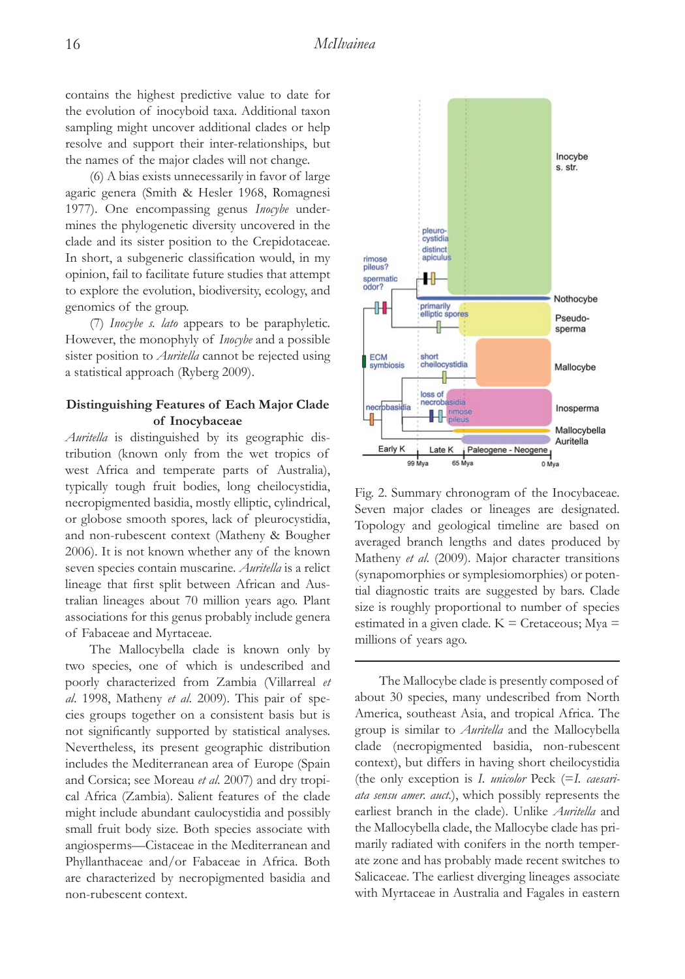contains the highest predictive value to date for the evolution of inocyboid taxa. Additional taxon sampling might uncover additional clades or help resolve and support their inter-relationships, but the names of the major clades will not change.

(6) A bias exists unnecessarily in favor of large agaric genera (Smith & Hesler 1968, Romagnesi 1977). One encompassing genus *Inocybe* undermines the phylogenetic diversity uncovered in the clade and its sister position to the Crepidotaceae. In short, a subgeneric classification would, in my opinion, fail to facilitate future studies that attempt to explore the evolution, biodiversity, ecology, and genomics of the group.

(7) *Inocybe s. lato* appears to be paraphyletic. However, the monophyly of *Inocybe* and a possible sister position to *Auritella* cannot be rejected using a statistical approach (Ryberg 2009).

## **Distinguishing Features of Each Major Clade of Inocybaceae**

*Auritella* is distinguished by its geographic distribution (known only from the wet tropics of west Africa and temperate parts of Australia), typically tough fruit bodies, long cheilocystidia, necropigmented basidia, mostly elliptic, cylindrical, or globose smooth spores, lack of pleurocystidia, and non-rubescent context (Matheny & Bougher 2006). It is not known whether any of the known seven species contain muscarine. *Auritella* is a relict lineage that first split between African and Australian lineages about 70 million years ago. Plant associations for this genus probably include genera of Fabaceae and Myrtaceae.

The Mallocybella clade is known only by two species, one of which is undescribed and poorly characterized from Zambia (Villarreal *et al*. 1998, Matheny *et al*. 2009). This pair of species groups together on a consistent basis but is not significantly supported by statistical analyses. Nevertheless, its present geographic distribution includes the Mediterranean area of Europe (Spain and Corsica; see Moreau *et al*. 2007) and dry tropical Africa (Zambia). Salient features of the clade might include abundant caulocystidia and possibly small fruit body size. Both species associate with angiosperms—Cistaceae in the Mediterranean and Phyllanthaceae and/or Fabaceae in Africa. Both are characterized by necropigmented basidia and non-rubescent context.



Fig. 2. Summary chronogram of the Inocybaceae. Seven major clades or lineages are designated. Topology and geological timeline are based on averaged branch lengths and dates produced by Matheny *et al*. (2009). Major character transitions (synapomorphies or symplesiomorphies) or potential diagnostic traits are suggested by bars. Clade size is roughly proportional to number of species estimated in a given clade.  $K =$  Cretaceous; Mya  $=$ millions of years ago.

The Mallocybe clade is presently composed of about 30 species, many undescribed from North America, southeast Asia, and tropical Africa. The group is similar to *Auritella* and the Mallocybella clade (necropigmented basidia, non-rubescent context), but differs in having short cheilocystidia (the only exception is *I. unicolor* Peck (=*I. caesariata sensu amer. auct*.), which possibly represents the earliest branch in the clade). Unlike *Auritella* and the Mallocybella clade, the Mallocybe clade has primarily radiated with conifers in the north temperate zone and has probably made recent switches to Salicaceae. The earliest diverging lineages associate with Myrtaceae in Australia and Fagales in eastern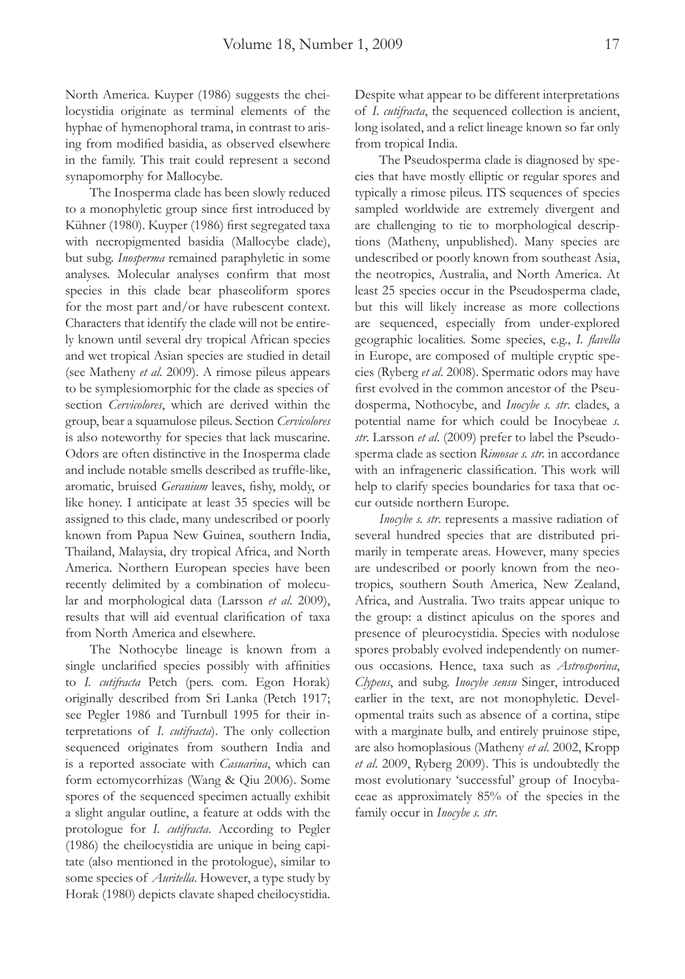North America. Kuyper (1986) suggests the cheilocystidia originate as terminal elements of the hyphae of hymenophoral trama, in contrast to arising from modified basidia, as observed elsewhere in the family. This trait could represent a second synapomorphy for Mallocybe.

The Inosperma clade has been slowly reduced to a monophyletic group since first introduced by Kühner (1980). Kuyper (1986) first segregated taxa with necropigmented basidia (Mallocybe clade), but subg. *Inosperma* remained paraphyletic in some analyses. Molecular analyses confirm that most species in this clade bear phaseoliform spores for the most part and/or have rubescent context. Characters that identify the clade will not be entirely known until several dry tropical African species and wet tropical Asian species are studied in detail (see Matheny *et al*. 2009). A rimose pileus appears to be symplesiomorphic for the clade as species of section *Cervicolores*, which are derived within the group, bear a squamulose pileus. Section *Cervicolores* is also noteworthy for species that lack muscarine. Odors are often distinctive in the Inosperma clade and include notable smells described as truffle-like, aromatic, bruised *Geranium* leaves, fishy, moldy, or like honey. I anticipate at least 35 species will be assigned to this clade, many undescribed or poorly known from Papua New Guinea, southern India, Thailand, Malaysia, dry tropical Africa, and North America. Northern European species have been recently delimited by a combination of molecular and morphological data (Larsson *et al*. 2009), results that will aid eventual clarification of taxa from North America and elsewhere.

The Nothocybe lineage is known from a single unclarified species possibly with affinities to *I. cutifracta* Petch (pers. com. Egon Horak) originally described from Sri Lanka (Petch 1917; see Pegler 1986 and Turnbull 1995 for their interpretations of *I. cutifracta*). The only collection sequenced originates from southern India and is a reported associate with *Casuarina*, which can form ectomycorrhizas (Wang & Qiu 2006). Some spores of the sequenced specimen actually exhibit a slight angular outline, a feature at odds with the protologue for *I. cutifracta*. According to Pegler (1986) the cheilocystidia are unique in being capitate (also mentioned in the protologue), similar to some species of *Auritella*. However, a type study by Horak (1980) depicts clavate shaped cheilocystidia.

Despite what appear to be different interpretations of *I. cutifracta*, the sequenced collection is ancient, long isolated, and a relict lineage known so far only from tropical India.

The Pseudosperma clade is diagnosed by species that have mostly elliptic or regular spores and typically a rimose pileus. ITS sequences of species sampled worldwide are extremely divergent and are challenging to tie to morphological descriptions (Matheny, unpublished). Many species are undescribed or poorly known from southeast Asia, the neotropics, Australia, and North America. At least 25 species occur in the Pseudosperma clade, but this will likely increase as more collections are sequenced, especially from under-explored geographic localities. Some species, e.g., *I. flavella* in Europe, are composed of multiple cryptic species (Ryberg *et al*. 2008). Spermatic odors may have first evolved in the common ancestor of the Pseudosperma, Nothocybe, and *Inocybe s. str*. clades, a potential name for which could be Inocybeae *s. str*. Larsson *et al*. (2009) prefer to label the Pseudosperma clade as section *Rimosae s. str.* in accordance with an infrageneric classification. This work will help to clarify species boundaries for taxa that occur outside northern Europe.

*Inocybe s. str*. represents a massive radiation of several hundred species that are distributed primarily in temperate areas. However, many species are undescribed or poorly known from the neotropics, southern South America, New Zealand, Africa, and Australia. Two traits appear unique to the group: a distinct apiculus on the spores and presence of pleurocystidia. Species with nodulose spores probably evolved independently on numerous occasions. Hence, taxa such as *Astrosporina*, *Clypeus*, and subg. *Inocybe sensu* Singer, introduced earlier in the text, are not monophyletic. Developmental traits such as absence of a cortina, stipe with a marginate bulb, and entirely pruinose stipe, are also homoplasious (Matheny *et al*. 2002, Kropp *et al*. 2009, Ryberg 2009). This is undoubtedly the most evolutionary 'successful' group of Inocybaceae as approximately 85% of the species in the family occur in *Inocybe s. str*.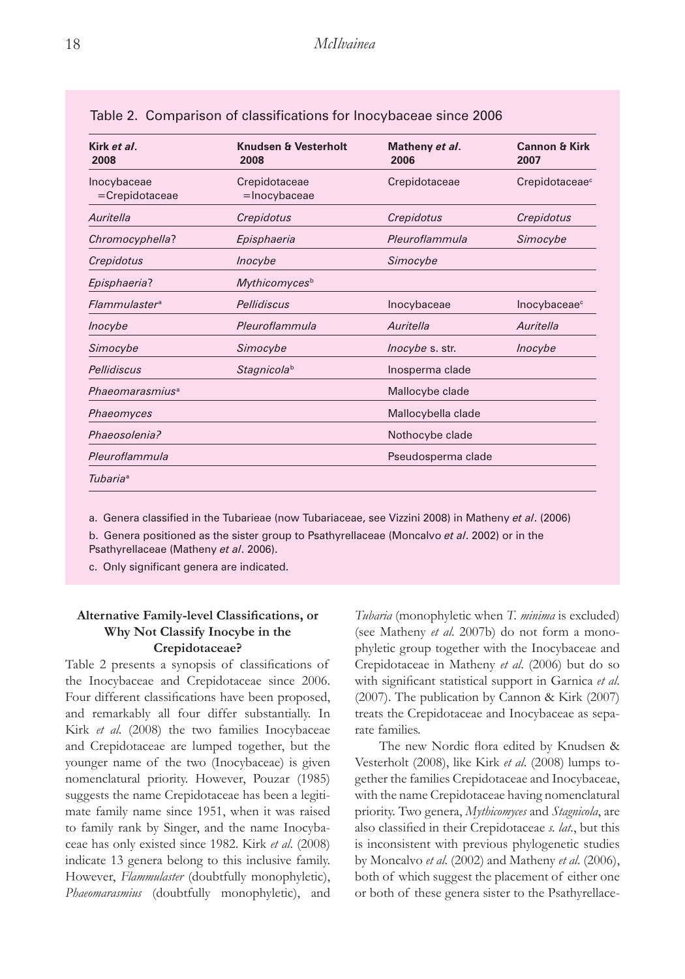| Kirk et al.<br>2008              | Knudsen & Vesterholt<br>2008  | Matheny et al.<br>2006 | <b>Cannon &amp; Kirk</b><br>2007 |
|----------------------------------|-------------------------------|------------------------|----------------------------------|
| Inocybaceae<br>=Crepidotaceae    | Crepidotaceae<br>=Inocybaceae | Crepidotaceae          | Crepidotaceae <sup>c</sup>       |
| Auritella                        | Crepidotus                    | Crepidotus             | Crepidotus                       |
| Chromocyphella?                  | Episphaeria                   | Pleuroflammula         | Simocybe                         |
| Crepidotus                       | <i>Inocybe</i>                | Simocybe               |                                  |
| Episphaeria?                     | Mythicomycesb                 |                        |                                  |
| <b>Flammulaster</b> <sup>a</sup> | Pellidiscus                   | Inocybaceae            | Inocybaceae <sup>c</sup>         |
| Inocybe                          | Pleuroflammula                | Auritella              | Auritella                        |
| Simocybe                         | Simocybe                      | <i>lnocybe</i> s. str. | <i>Inocybe</i>                   |
| Pellidiscus                      | Stagnicolab                   | Inosperma clade        |                                  |
| Phaeomarasmius <sup>a</sup>      |                               | Mallocybe clade        |                                  |
| Phaeomyces                       |                               | Mallocybella clade     |                                  |
| Phaeosolenia?                    |                               | Nothocybe clade        |                                  |
| Pleuroflammula                   |                               | Pseudosperma clade     |                                  |
| Tubariaª                         |                               |                        |                                  |

Table 2. Comparison of classifications for Inocybaceae since 2006

a. Genera classified in the Tubarieae (now Tubariaceae, see Vizzini 2008) in Matheny *et al*. (2006) b. Genera positioned as the sister group to Psathyrellaceae (Moncalvo *et al*. 2002) or in the Psathyrellaceae (Matheny *et al*. 2006).

c. Only significant genera are indicated.

# **Alternative Family-level Classifications, or Why Not Classify Inocybe in the Crepidotaceae?**

Table 2 presents a synopsis of classifications of the Inocybaceae and Crepidotaceae since 2006. Four different classifications have been proposed, and remarkably all four differ substantially. In Kirk *et al*. (2008) the two families Inocybaceae and Crepidotaceae are lumped together, but the younger name of the two (Inocybaceae) is given nomenclatural priority. However, Pouzar (1985) suggests the name Crepidotaceae has been a legitimate family name since 1951, when it was raised to family rank by Singer, and the name Inocybaceae has only existed since 1982. Kirk *et al*. (2008) indicate 13 genera belong to this inclusive family. However, *Flammulaster* (doubtfully monophyletic), *Phaeomarasmius* (doubtfully monophyletic), and

*Tubaria* (monophyletic when *T. minima* is excluded) (see Matheny *et al*. 2007b) do not form a monophyletic group together with the Inocybaceae and Crepidotaceae in Matheny *et al*. (2006) but do so with significant statistical support in Garnica *et al*. (2007). The publication by Cannon & Kirk (2007) treats the Crepidotaceae and Inocybaceae as separate families.

The new Nordic flora edited by Knudsen & Vesterholt (2008), like Kirk *et al*. (2008) lumps together the families Crepidotaceae and Inocybaceae, with the name Crepidotaceae having nomenclatural priority. Two genera, *Mythicomyces* and *Stagnicola*, are also classified in their Crepidotaceae *s. lat*., but this is inconsistent with previous phylogenetic studies by Moncalvo *et al*. (2002) and Matheny *et al*. (2006), both of which suggest the placement of either one or both of these genera sister to the Psathyrellace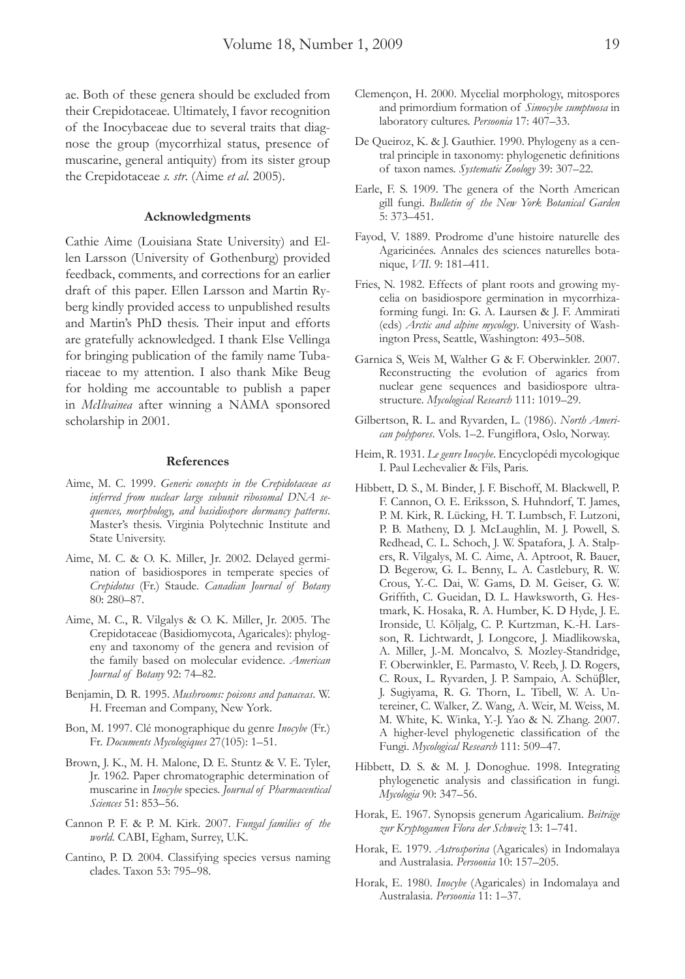ae. Both of these genera should be excluded from their Crepidotaceae. Ultimately, I favor recognition of the Inocybaceae due to several traits that diagnose the group (mycorrhizal status, presence of muscarine, general antiquity) from its sister group the Crepidotaceae *s. str*. (Aime *et al*. 2005).

#### **Acknowledgments**

Cathie Aime (Louisiana State University) and Ellen Larsson (University of Gothenburg) provided feedback, comments, and corrections for an earlier draft of this paper. Ellen Larsson and Martin Ryberg kindly provided access to unpublished results and Martin's PhD thesis. Their input and efforts are gratefully acknowledged. I thank Else Vellinga for bringing publication of the family name Tubariaceae to my attention. I also thank Mike Beug for holding me accountable to publish a paper in *McIlvainea* after winning a NAMA sponsored scholarship in 2001.

#### **References**

- Aime, M. C. 1999. *Generic concepts in the Crepidotaceae as inferred from nuclear large subunit ribosomal DNA sequences, morphology, and basidiospore dormancy patterns*. Master's thesis. Virginia Polytechnic Institute and State University.
- Aime, M. C. & O. K. Miller, Jr. 2002. Delayed germination of basidiospores in temperate species of *Crepidotus* (Fr.) Staude. *Canadian Journal of Botany* 80: 280–87.
- Aime, M. C., R. Vilgalys & O. K. Miller, Jr. 2005. The Crepidotaceae (Basidiomycota, Agaricales): phylogeny and taxonomy of the genera and revision of the family based on molecular evidence. *American Journal of Botany* 92: 74–82.
- Benjamin, D. R. 1995. *Mushrooms: poisons and panaceas*. W. H. Freeman and Company, New York.
- Bon, M. 1997. Clé monographique du genre *Inocybe* (Fr.) Fr. *Documents Mycologiques* 27(105): 1–51.
- Brown, J. K., M. H. Malone, D. E. Stuntz & V. E. Tyler, Jr. 1962. Paper chromatographic determination of muscarine in *Inocybe* species. *Journal of Pharmaceutical Sciences* 51: 853–56.
- Cannon P. F. & P. M. Kirk. 2007. *Fungal families of the world*. CABI, Egham, Surrey, U.K.
- Cantino, P. D. 2004. Classifying species versus naming clades. Taxon 53: 795–98.
- Clemençon, H. 2000. Mycelial morphology, mitospores and primordium formation of *Simocybe sumptuosa* in laboratory cultures. *Persoonia* 17: 407–33.
- De Queiroz, K. & J. Gauthier. 1990. Phylogeny as a central principle in taxonomy: phylogenetic definitions of taxon names. *Systematic Zoology* 39: 307–22.
- Earle, F. S. 1909. The genera of the North American gill fungi. *Bulletin of the New York Botanical Garden* 5: 373–451.
- Fayod, V. 1889. Prodrome d'une histoire naturelle des Agaricinées. Annales des sciences naturelles botanique, *VII*. 9: 181–411.
- Fries, N. 1982. Effects of plant roots and growing mycelia on basidiospore germination in mycorrhizaforming fungi. In: G. A. Laursen & J. F. Ammirati (eds) *Arctic and alpine mycology*. University of Washington Press, Seattle, Washington: 493–508.
- Garnica S, Weis M, Walther G & F. Oberwinkler. 2007. Reconstructing the evolution of agarics from nuclear gene sequences and basidiospore ultrastructure. *Mycological Research* 111: 1019–29.
- Gilbertson, R. L. and Ryvarden, L. (1986). *North American polypores*. Vols. 1–2. Fungiflora, Oslo, Norway.
- Heim, R. 1931. *Le genre Inocybe*. Encyclopédi mycologique I. Paul Lechevalier & Fils, Paris.
- Hibbett, D. S., M. Binder, J. F. Bischoff, M. Blackwell, P. F. Cannon, O. E. Eriksson, S. Huhndorf, T. James, P. M. Kirk, R. Lücking, H. T. Lumbsch, F. Lutzoni, P. B. Matheny, D. J. McLaughlin, M. J. Powell, S. Redhead, C. L. Schoch, J. W. Spatafora, J. A. Stalpers, R. Vilgalys, M. C. Aime, A. Aptroot, R. Bauer, D. Begerow, G. L. Benny, L. A. Castlebury, R. W. Crous, Y.-C. Dai, W. Gams, D. M. Geiser, G. W. Griffith, C. Gueidan, D. L. Hawksworth, G. Hestmark, K. Hosaka, R. A. Humber, K. D Hyde, J. E. Ironside, U. Kõljalg, C. P. Kurtzman, K.-H. Larsson, R. Lichtwardt, J. Longcore, J. Miadlikowska, A. Miller, J.-M. Moncalvo, S. Mozley-Standridge, F. Oberwinkler, E. Parmasto, V. Reeb, J. D. Rogers, C. Roux, L. Ryvarden, J. P. Sampaio, A. Schüβler, J. Sugiyama, R. G. Thorn, L. Tibell, W. A. Untereiner, C. Walker, Z. Wang, A. Weir, M. Weiss, M. M. White, K. Winka, Y.-J. Yao & N. Zhang. 2007. A higher-level phylogenetic classification of the Fungi. *Mycological Research* 111: 509–47.
- Hibbett, D. S. & M. J. Donoghue. 1998. Integrating phylogenetic analysis and classification in fungi. *Mycologia* 90: 347–56.
- Horak, E. 1967. Synopsis generum Agaricalium. *Beiträge zur Kryptogamen Flora der Schweiz* 13: 1–741.
- Horak, E. 1979. *Astrosporina* (Agaricales) in Indomalaya and Australasia. *Persoonia* 10: 157–205.
- Horak, E. 1980. *Inocybe* (Agaricales) in Indomalaya and Australasia. *Persoonia* 11: 1–37.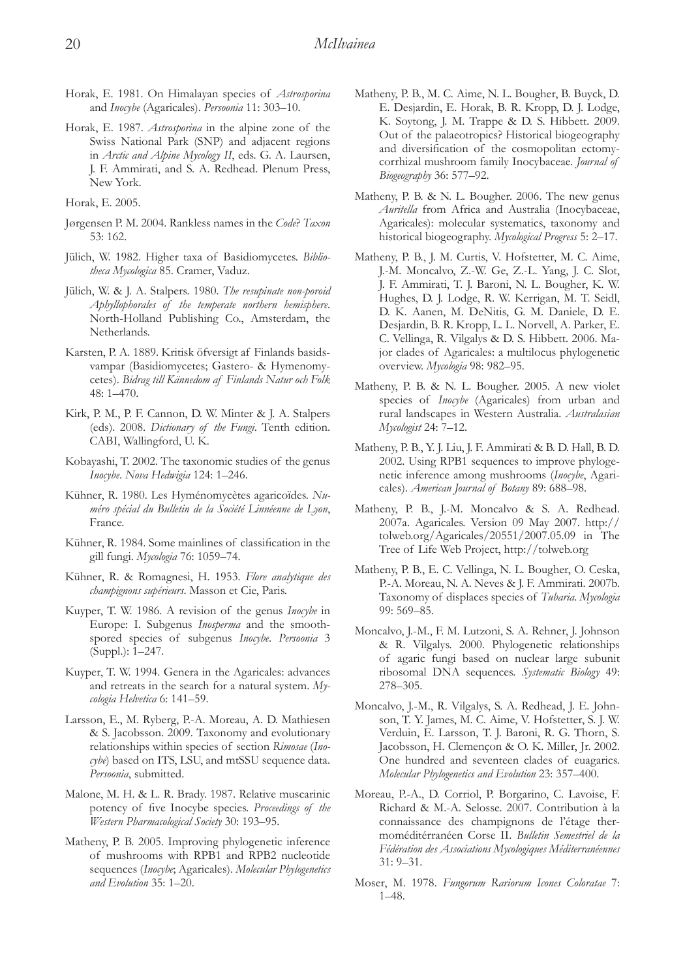- Horak, E. 1981. On Himalayan species of *Astrosporina*  and *Inocybe* (Agaricales). *Persoonia* 11: 303–10.
- Horak, E. 1987. *Astrosporina* in the alpine zone of the Swiss National Park (SNP) and adjacent regions in *Arctic and Alpine Mycology II*, eds. G. A. Laursen, J. F. Ammirati, and S. A. Redhead. Plenum Press, New York.

Horak, E. 2005.

- Jørgensen P. M. 2004. Rankless names in the *Code*? *Taxon* 53: 162.
- Jülich, W. 1982. Higher taxa of Basidiomycetes. *Bibliotheca Mycologica* 85. Cramer, Vaduz.
- Jülich, W. & J. A. Stalpers. 1980. *The resupinate non-poroid Aphyllophorales of the temperate northern hemisphere*. North-Holland Publishing Co., Amsterdam, the Netherlands.
- Karsten, P. A. 1889. Kritisk öfversigt af Finlands basidsvampar (Basidiomycetes; Gastero- & Hymenomycetes). *Bidrag till Kännedom af Finlands Natur och Folk* 48: 1–470.
- Kirk, P. M., P. F. Cannon, D. W. Minter & J. A. Stalpers (eds). 2008. *Dictionary of the Fungi*. Tenth edition. CABI, Wallingford, U. K.
- Kobayashi, T. 2002. The taxonomic studies of the genus *Inocybe*. *Nova Hedwigia* 124: 1–246.
- Kühner, R. 1980. Les Hyménomycètes agaricoïdes. *Numéro spécial du Bulletin de la Société Linnéenne de Lyon*, France.
- Kühner, R. 1984. Some mainlines of classification in the gill fungi. *Mycologia* 76: 1059–74.
- Kühner, R. & Romagnesi, H. 1953. *Flore analytique des champignons supérieurs*. Masson et Cie, Paris.
- Kuyper, T. W. 1986. A revision of the genus *Inocybe* in Europe: I. Subgenus *Inosperma* and the smoothspored species of subgenus *Inocybe*. *Persoonia* 3 (Suppl.): 1–247.
- Kuyper, T. W. 1994. Genera in the Agaricales: advances and retreats in the search for a natural system. *Mycologia Helvetica* 6: 141–59.
- Larsson, E., M. Ryberg, P.-A. Moreau, A. D. Mathiesen & S. Jacobsson. 2009. Taxonomy and evolutionary relationships within species of section *Rimosae* (*Inocybe*) based on ITS, LSU, and mtSSU sequence data. *Persoonia*, submitted.
- Malone, M. H. & L. R. Brady. 1987. Relative muscarinic potency of five Inocybe species. *Proceedings of the Western Pharmacological Society* 30: 193–95.
- Matheny, P. B. 2005. Improving phylogenetic inference of mushrooms with RPB1 and RPB2 nucleotide sequences (*Inocybe*; Agaricales). *Molecular Phylogenetics and Evolution* 35: 1–20.
- Matheny, P. B., M. C. Aime, N. L. Bougher, B. Buyck, D. E. Desjardin, E. Horak, B. R. Kropp, D. J. Lodge, K. Soytong, J. M. Trappe & D. S. Hibbett. 2009. Out of the palaeotropics? Historical biogeography and diversification of the cosmopolitan ectomycorrhizal mushroom family Inocybaceae. *Journal of Biogeography* 36: 577–92.
- Matheny, P. B. & N. L. Bougher. 2006. The new genus *Auritella* from Africa and Australia (Inocybaceae, Agaricales): molecular systematics, taxonomy and historical biogeography. *Mycological Progress* 5: 2–17.
- Matheny, P. B., J. M. Curtis, V. Hofstetter, M. C. Aime, J.-M. Moncalvo, Z.-W. Ge, Z.-L. Yang, J. C. Slot, J. F. Ammirati, T. J. Baroni, N. L. Bougher, K. W. Hughes, D. J. Lodge, R. W. Kerrigan, M. T. Seidl, D. K. Aanen, M. DeNitis, G. M. Daniele, D. E. Desjardin, B. R. Kropp, L. L. Norvell, A. Parker, E. C. Vellinga, R. Vilgalys & D. S. Hibbett. 2006. Major clades of Agaricales: a multilocus phylogenetic overview. *Mycologia* 98: 982–95.
- Matheny, P. B. & N. L. Bougher. 2005. A new violet species of *Inocybe* (Agaricales) from urban and rural landscapes in Western Australia. *Australasian Mycologist* 24: 7–12.
- Matheny, P. B., Y. J. Liu, J. F. Ammirati & B. D. Hall, B. D. 2002. Using RPB1 sequences to improve phylogenetic inference among mushrooms (*Inocybe*, Agaricales). *American Journal of Botany* 89: 688–98.
- Matheny, P. B., J.-M. Moncalvo & S. A. Redhead. 2007a. Agaricales. Version 09 May 2007. http:// tolweb.org/Agaricales/20551/2007.05.09 in The Tree of Life Web Project, http://tolweb.org
- Matheny, P. B., E. C. Vellinga, N. L. Bougher, O. Ceska, P.-A. Moreau, N. A. Neves & J. F. Ammirati. 2007b. Taxonomy of displaces species of *Tubaria*. *Mycologia* 99: 569–85.
- Moncalvo, J.-M., F. M. Lutzoni, S. A. Rehner, J. Johnson & R. Vilgalys. 2000. Phylogenetic relationships of agaric fungi based on nuclear large subunit ribosomal DNA sequences. *Systematic Biology* 49: 278–305.
- Moncalvo, J.-M., R. Vilgalys, S. A. Redhead, J. E. Johnson, T. Y. James, M. C. Aime, V. Hofstetter, S. J. W. Verduin, E. Larsson, T. J. Baroni, R. G. Thorn, S. Jacobsson, H. Clemençon & O. K. Miller, Jr. 2002. One hundred and seventeen clades of euagarics. *Molecular Phylogenetics and Evolution* 23: 357–400.
- Moreau, P.-A., D. Corriol, P. Borgarino, C. Lavoise, F. Richard & M.-A. Selosse. 2007. Contribution à la connaissance des champignons de l'étage thermoméditérranéen Corse II. *Bulletin Semestriel de la Fédération des Associations Mycologiques Méditerranéennes* 31: 9–31.
- Moser, M. 1978. *Fungorum Rariorum Icones Coloratae* 7: 1–48.